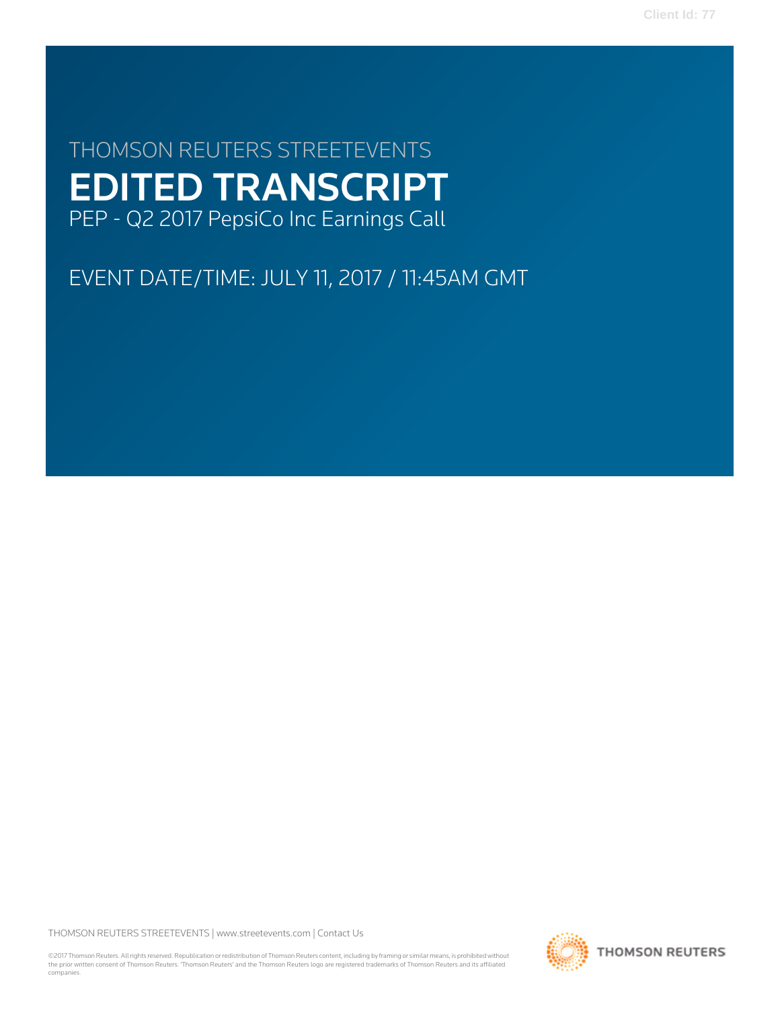**Client Id: 77**

# THOMSON REUTERS STREETEVENTS EDITED TRANSCRIPT PEP - Q2 2017 PepsiCo Inc Earnings Call

EVENT DATE/TIME: JULY 11, 2017 / 11:45AM GMT

THOMSON REUTERS STREETEVENTS | [www.streetevents.com](http://www.streetevents.com) | [Contact Us](http://www010.streetevents.com/contact.asp)

©2017 Thomson Reuters. All rights reserved. Republication or redistribution of Thomson Reuters content, including by framing or similar means, is prohibited without the prior written consent of Thomson Reuters. 'Thomson Reuters' and the Thomson Reuters logo are registered trademarks of Thomson Reuters and its affiliated companies.

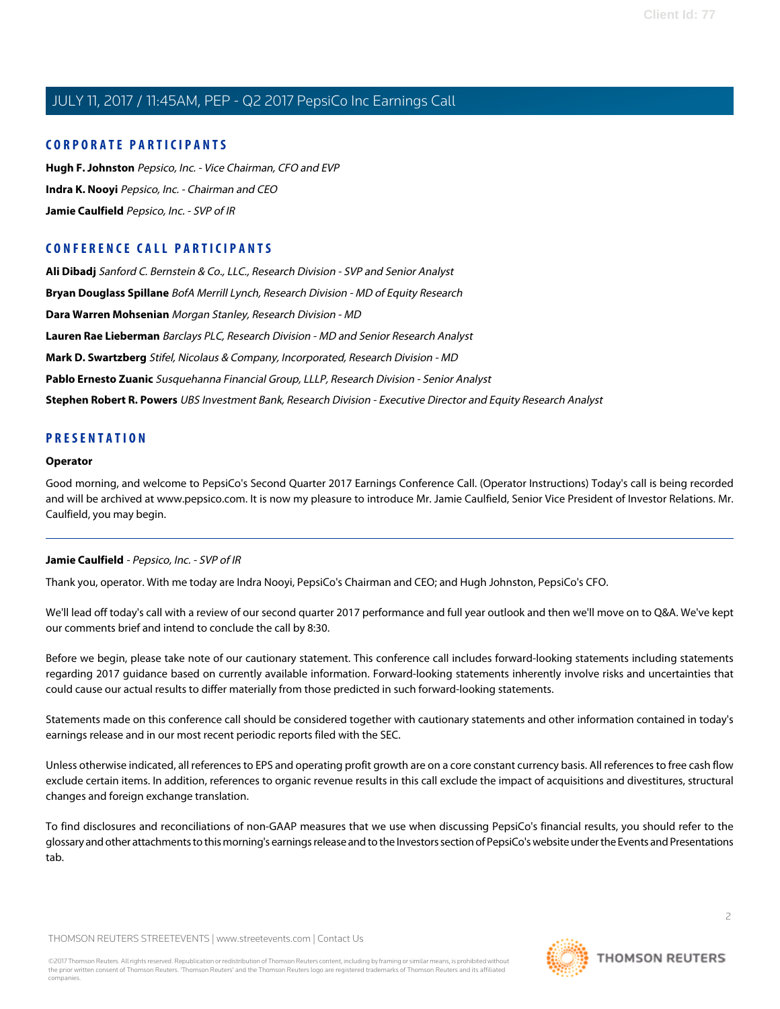## **CORPORATE PARTICIPANTS**

**[Hugh F. Johnston](#page-5-0)** Pepsico, Inc. - Vice Chairman, CFO and EVP **[Indra K. Nooyi](#page-2-0)** Pepsico, Inc. - Chairman and CEO **[Jamie Caulfield](#page-1-0)** Pepsico, Inc. - SVP of IR

# **CONFERENCE CALL PARTICIPANTS**

**[Ali Dibadj](#page-7-0)** Sanford C. Bernstein & Co., LLC., Research Division - SVP and Senior Analyst **[Bryan Douglass Spillane](#page-9-0)** BofA Merrill Lynch, Research Division - MD of Equity Research **[Dara Warren Mohsenian](#page-6-0)** Morgan Stanley, Research Division - MD **[Lauren Rae Lieberman](#page-11-0)** Barclays PLC, Research Division - MD and Senior Research Analyst **[Mark D. Swartzberg](#page-9-1)** Stifel, Nicolaus & Company, Incorporated, Research Division - MD **[Pablo Ernesto Zuanic](#page-10-0)** Susquehanna Financial Group, LLLP, Research Division - Senior Analyst **[Stephen Robert R. Powers](#page-7-1)** UBS Investment Bank, Research Division - Executive Director and Equity Research Analyst

### **PRESENTATION**

### **Operator**

<span id="page-1-0"></span>Good morning, and welcome to PepsiCo's Second Quarter 2017 Earnings Conference Call. (Operator Instructions) Today's call is being recorded and will be archived at www.pepsico.com. It is now my pleasure to introduce Mr. Jamie Caulfield, Senior Vice President of Investor Relations. Mr. Caulfield, you may begin.

### **Jamie Caulfield** - Pepsico, Inc. - SVP of IR

Thank you, operator. With me today are Indra Nooyi, PepsiCo's Chairman and CEO; and Hugh Johnston, PepsiCo's CFO.

We'll lead off today's call with a review of our second quarter 2017 performance and full year outlook and then we'll move on to Q&A. We've kept our comments brief and intend to conclude the call by 8:30.

Before we begin, please take note of our cautionary statement. This conference call includes forward-looking statements including statements regarding 2017 guidance based on currently available information. Forward-looking statements inherently involve risks and uncertainties that could cause our actual results to differ materially from those predicted in such forward-looking statements.

Statements made on this conference call should be considered together with cautionary statements and other information contained in today's earnings release and in our most recent periodic reports filed with the SEC.

Unless otherwise indicated, all references to EPS and operating profit growth are on a core constant currency basis. All references to free cash flow exclude certain items. In addition, references to organic revenue results in this call exclude the impact of acquisitions and divestitures, structural changes and foreign exchange translation.

To find disclosures and reconciliations of non-GAAP measures that we use when discussing PepsiCo's financial results, you should refer to the glossary and other attachments to this morning's earnings release and to the Investors section of PepsiCo's website under the Events and Presentations tab.

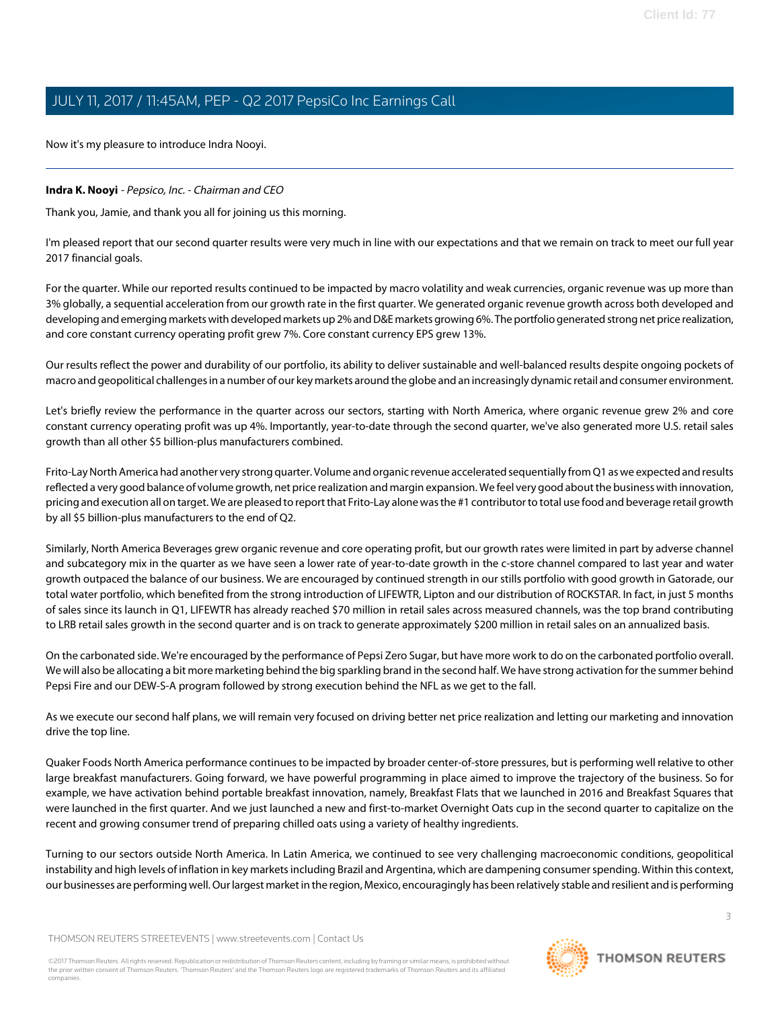Now it's my pleasure to introduce Indra Nooyi.

### <span id="page-2-0"></span>**Indra K. Nooyi** - Pepsico, Inc. - Chairman and CEO

Thank you, Jamie, and thank you all for joining us this morning.

I'm pleased report that our second quarter results were very much in line with our expectations and that we remain on track to meet our full year 2017 financial goals.

For the quarter. While our reported results continued to be impacted by macro volatility and weak currencies, organic revenue was up more than 3% globally, a sequential acceleration from our growth rate in the first quarter. We generated organic revenue growth across both developed and developing and emerging markets with developed markets up 2% and D&E markets growing 6%. The portfolio generated strong net price realization, and core constant currency operating profit grew 7%. Core constant currency EPS grew 13%.

Our results reflect the power and durability of our portfolio, its ability to deliver sustainable and well-balanced results despite ongoing pockets of macro and geopolitical challenges in a number of our key markets around the globe and an increasingly dynamic retail and consumer environment.

Let's briefly review the performance in the quarter across our sectors, starting with North America, where organic revenue grew 2% and core constant currency operating profit was up 4%. Importantly, year-to-date through the second quarter, we've also generated more U.S. retail sales growth than all other \$5 billion-plus manufacturers combined.

Frito-Lay North America had another very strong quarter. Volume and organic revenue accelerated sequentially from Q1 as we expected and results reflected a very good balance of volume growth, net price realization and margin expansion. We feel very good about the business with innovation, pricing and execution all on target. We are pleased to report that Frito-Lay alone was the #1 contributor to total use food and beverage retail growth by all \$5 billion-plus manufacturers to the end of Q2.

Similarly, North America Beverages grew organic revenue and core operating profit, but our growth rates were limited in part by adverse channel and subcategory mix in the quarter as we have seen a lower rate of year-to-date growth in the c-store channel compared to last year and water growth outpaced the balance of our business. We are encouraged by continued strength in our stills portfolio with good growth in Gatorade, our total water portfolio, which benefited from the strong introduction of LIFEWTR, Lipton and our distribution of ROCKSTAR. In fact, in just 5 months of sales since its launch in Q1, LIFEWTR has already reached \$70 million in retail sales across measured channels, was the top brand contributing to LRB retail sales growth in the second quarter and is on track to generate approximately \$200 million in retail sales on an annualized basis.

On the carbonated side. We're encouraged by the performance of Pepsi Zero Sugar, but have more work to do on the carbonated portfolio overall. We will also be allocating a bit more marketing behind the big sparkling brand in the second half. We have strong activation for the summer behind Pepsi Fire and our DEW-S-A program followed by strong execution behind the NFL as we get to the fall.

As we execute our second half plans, we will remain very focused on driving better net price realization and letting our marketing and innovation drive the top line.

Quaker Foods North America performance continues to be impacted by broader center-of-store pressures, but is performing well relative to other large breakfast manufacturers. Going forward, we have powerful programming in place aimed to improve the trajectory of the business. So for example, we have activation behind portable breakfast innovation, namely, Breakfast Flats that we launched in 2016 and Breakfast Squares that were launched in the first quarter. And we just launched a new and first-to-market Overnight Oats cup in the second quarter to capitalize on the recent and growing consumer trend of preparing chilled oats using a variety of healthy ingredients.

Turning to our sectors outside North America. In Latin America, we continued to see very challenging macroeconomic conditions, geopolitical instability and high levels of inflation in key markets including Brazil and Argentina, which are dampening consumer spending. Within this context, our businesses are performing well. Our largest market in the region, Mexico, encouragingly has been relatively stable and resilient and is performing

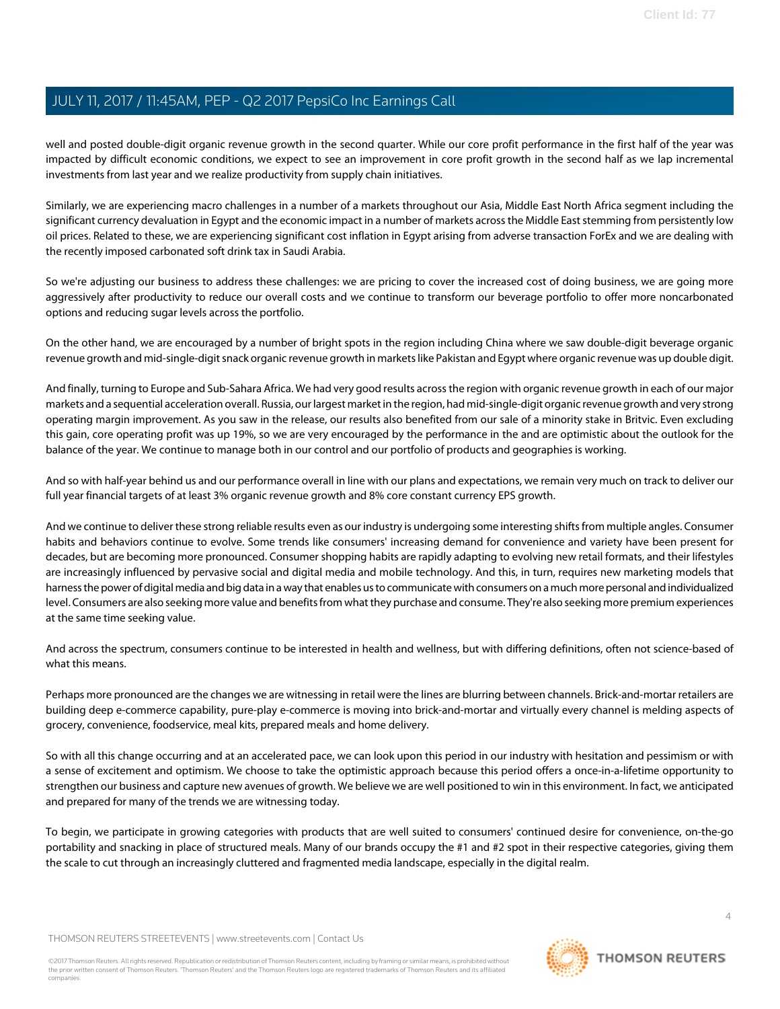well and posted double-digit organic revenue growth in the second quarter. While our core profit performance in the first half of the year was impacted by difficult economic conditions, we expect to see an improvement in core profit growth in the second half as we lap incremental investments from last year and we realize productivity from supply chain initiatives.

Similarly, we are experiencing macro challenges in a number of a markets throughout our Asia, Middle East North Africa segment including the significant currency devaluation in Egypt and the economic impact in a number of markets across the Middle East stemming from persistently low oil prices. Related to these, we are experiencing significant cost inflation in Egypt arising from adverse transaction ForEx and we are dealing with the recently imposed carbonated soft drink tax in Saudi Arabia.

So we're adjusting our business to address these challenges: we are pricing to cover the increased cost of doing business, we are going more aggressively after productivity to reduce our overall costs and we continue to transform our beverage portfolio to offer more noncarbonated options and reducing sugar levels across the portfolio.

On the other hand, we are encouraged by a number of bright spots in the region including China where we saw double-digit beverage organic revenue growth and mid-single-digit snack organic revenue growth in markets like Pakistan and Egypt where organic revenue was up double digit.

And finally, turning to Europe and Sub-Sahara Africa. We had very good results across the region with organic revenue growth in each of our major markets and a sequential acceleration overall. Russia, our largest market in the region, had mid-single-digit organic revenue growth and very strong operating margin improvement. As you saw in the release, our results also benefited from our sale of a minority stake in Britvic. Even excluding this gain, core operating profit was up 19%, so we are very encouraged by the performance in the and are optimistic about the outlook for the balance of the year. We continue to manage both in our control and our portfolio of products and geographies is working.

And so with half-year behind us and our performance overall in line with our plans and expectations, we remain very much on track to deliver our full year financial targets of at least 3% organic revenue growth and 8% core constant currency EPS growth.

And we continue to deliver these strong reliable results even as our industry is undergoing some interesting shifts from multiple angles. Consumer habits and behaviors continue to evolve. Some trends like consumers' increasing demand for convenience and variety have been present for decades, but are becoming more pronounced. Consumer shopping habits are rapidly adapting to evolving new retail formats, and their lifestyles are increasingly influenced by pervasive social and digital media and mobile technology. And this, in turn, requires new marketing models that harness the power of digital media and big data in a way that enables us to communicate with consumers on a much more personal and individualized level. Consumers are also seeking more value and benefits from what they purchase and consume. They're also seeking more premium experiences at the same time seeking value.

And across the spectrum, consumers continue to be interested in health and wellness, but with differing definitions, often not science-based of what this means.

Perhaps more pronounced are the changes we are witnessing in retail were the lines are blurring between channels. Brick-and-mortar retailers are building deep e-commerce capability, pure-play e-commerce is moving into brick-and-mortar and virtually every channel is melding aspects of grocery, convenience, foodservice, meal kits, prepared meals and home delivery.

So with all this change occurring and at an accelerated pace, we can look upon this period in our industry with hesitation and pessimism or with a sense of excitement and optimism. We choose to take the optimistic approach because this period offers a once-in-a-lifetime opportunity to strengthen our business and capture new avenues of growth. We believe we are well positioned to win in this environment. In fact, we anticipated and prepared for many of the trends we are witnessing today.

To begin, we participate in growing categories with products that are well suited to consumers' continued desire for convenience, on-the-go portability and snacking in place of structured meals. Many of our brands occupy the #1 and #2 spot in their respective categories, giving them the scale to cut through an increasingly cluttered and fragmented media landscape, especially in the digital realm.

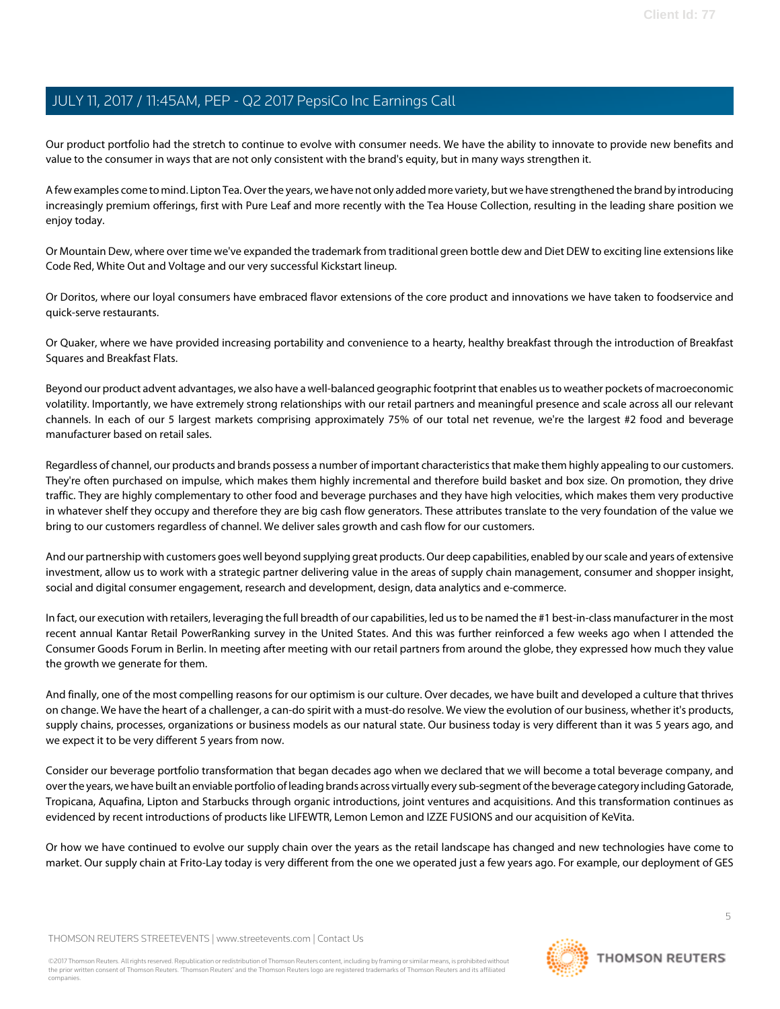Our product portfolio had the stretch to continue to evolve with consumer needs. We have the ability to innovate to provide new benefits and value to the consumer in ways that are not only consistent with the brand's equity, but in many ways strengthen it.

A few examples come to mind. Lipton Tea. Over the years, we have not only added more variety, but we have strengthened the brand by introducing increasingly premium offerings, first with Pure Leaf and more recently with the Tea House Collection, resulting in the leading share position we enjoy today.

Or Mountain Dew, where over time we've expanded the trademark from traditional green bottle dew and Diet DEW to exciting line extensions like Code Red, White Out and Voltage and our very successful Kickstart lineup.

Or Doritos, where our loyal consumers have embraced flavor extensions of the core product and innovations we have taken to foodservice and quick-serve restaurants.

Or Quaker, where we have provided increasing portability and convenience to a hearty, healthy breakfast through the introduction of Breakfast Squares and Breakfast Flats.

Beyond our product advent advantages, we also have a well-balanced geographic footprint that enables us to weather pockets of macroeconomic volatility. Importantly, we have extremely strong relationships with our retail partners and meaningful presence and scale across all our relevant channels. In each of our 5 largest markets comprising approximately 75% of our total net revenue, we're the largest #2 food and beverage manufacturer based on retail sales.

Regardless of channel, our products and brands possess a number of important characteristics that make them highly appealing to our customers. They're often purchased on impulse, which makes them highly incremental and therefore build basket and box size. On promotion, they drive traffic. They are highly complementary to other food and beverage purchases and they have high velocities, which makes them very productive in whatever shelf they occupy and therefore they are big cash flow generators. These attributes translate to the very foundation of the value we bring to our customers regardless of channel. We deliver sales growth and cash flow for our customers.

And our partnership with customers goes well beyond supplying great products. Our deep capabilities, enabled by our scale and years of extensive investment, allow us to work with a strategic partner delivering value in the areas of supply chain management, consumer and shopper insight, social and digital consumer engagement, research and development, design, data analytics and e-commerce.

In fact, our execution with retailers, leveraging the full breadth of our capabilities, led us to be named the #1 best-in-class manufacturer in the most recent annual Kantar Retail PowerRanking survey in the United States. And this was further reinforced a few weeks ago when I attended the Consumer Goods Forum in Berlin. In meeting after meeting with our retail partners from around the globe, they expressed how much they value the growth we generate for them.

And finally, one of the most compelling reasons for our optimism is our culture. Over decades, we have built and developed a culture that thrives on change. We have the heart of a challenger, a can-do spirit with a must-do resolve. We view the evolution of our business, whether it's products, supply chains, processes, organizations or business models as our natural state. Our business today is very different than it was 5 years ago, and we expect it to be very different 5 years from now.

Consider our beverage portfolio transformation that began decades ago when we declared that we will become a total beverage company, and over the years, we have built an enviable portfolio of leading brands across virtually every sub-segment of the beverage category including Gatorade, Tropicana, Aquafina, Lipton and Starbucks through organic introductions, joint ventures and acquisitions. And this transformation continues as evidenced by recent introductions of products like LIFEWTR, Lemon Lemon and IZZE FUSIONS and our acquisition of KeVita.

Or how we have continued to evolve our supply chain over the years as the retail landscape has changed and new technologies have come to market. Our supply chain at Frito-Lay today is very different from the one we operated just a few years ago. For example, our deployment of GES

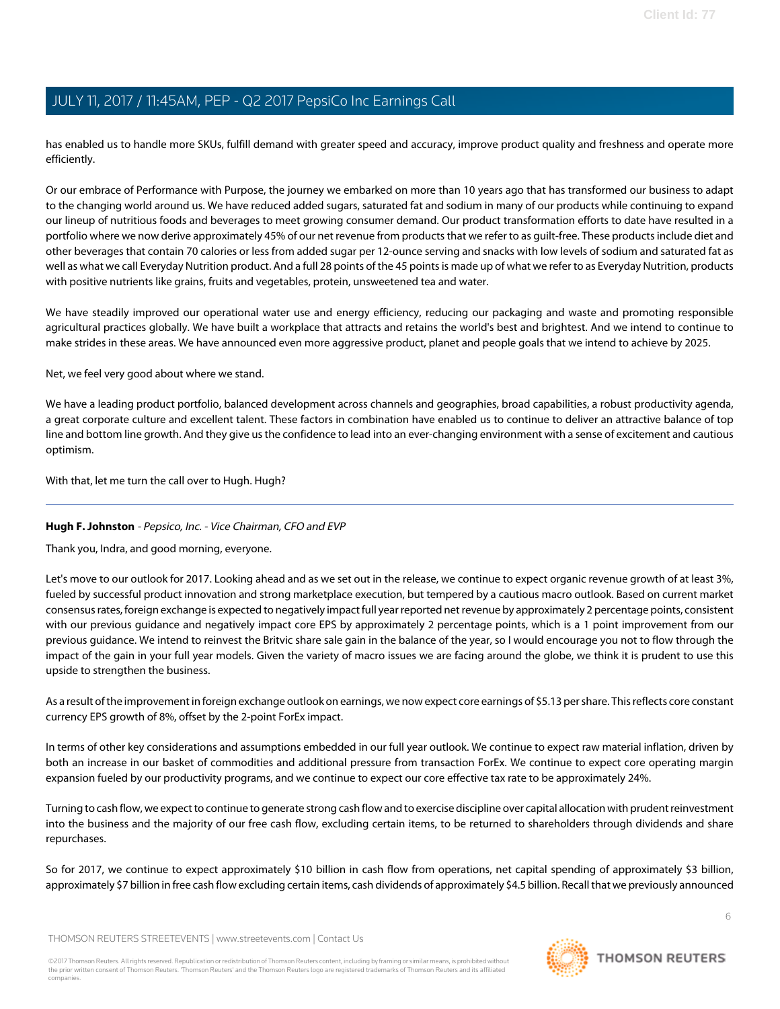has enabled us to handle more SKUs, fulfill demand with greater speed and accuracy, improve product quality and freshness and operate more efficiently.

Or our embrace of Performance with Purpose, the journey we embarked on more than 10 years ago that has transformed our business to adapt to the changing world around us. We have reduced added sugars, saturated fat and sodium in many of our products while continuing to expand our lineup of nutritious foods and beverages to meet growing consumer demand. Our product transformation efforts to date have resulted in a portfolio where we now derive approximately 45% of our net revenue from products that we refer to as guilt-free. These products include diet and other beverages that contain 70 calories or less from added sugar per 12-ounce serving and snacks with low levels of sodium and saturated fat as well as what we call Everyday Nutrition product. And a full 28 points of the 45 points is made up of what we refer to as Everyday Nutrition, products with positive nutrients like grains, fruits and vegetables, protein, unsweetened tea and water.

We have steadily improved our operational water use and energy efficiency, reducing our packaging and waste and promoting responsible agricultural practices globally. We have built a workplace that attracts and retains the world's best and brightest. And we intend to continue to make strides in these areas. We have announced even more aggressive product, planet and people goals that we intend to achieve by 2025.

Net, we feel very good about where we stand.

We have a leading product portfolio, balanced development across channels and geographies, broad capabilities, a robust productivity agenda, a great corporate culture and excellent talent. These factors in combination have enabled us to continue to deliver an attractive balance of top line and bottom line growth. And they give us the confidence to lead into an ever-changing environment with a sense of excitement and cautious optimism.

<span id="page-5-0"></span>With that, let me turn the call over to Hugh. Hugh?

### **Hugh F. Johnston** - Pepsico, Inc. - Vice Chairman, CFO and EVP

Thank you, Indra, and good morning, everyone.

Let's move to our outlook for 2017. Looking ahead and as we set out in the release, we continue to expect organic revenue growth of at least 3%, fueled by successful product innovation and strong marketplace execution, but tempered by a cautious macro outlook. Based on current market consensus rates, foreign exchange is expected to negatively impact full year reported net revenue by approximately 2 percentage points, consistent with our previous guidance and negatively impact core EPS by approximately 2 percentage points, which is a 1 point improvement from our previous guidance. We intend to reinvest the Britvic share sale gain in the balance of the year, so I would encourage you not to flow through the impact of the gain in your full year models. Given the variety of macro issues we are facing around the globe, we think it is prudent to use this upside to strengthen the business.

As a result of the improvement in foreign exchange outlook on earnings, we now expect core earnings of \$5.13 per share. This reflects core constant currency EPS growth of 8%, offset by the 2-point ForEx impact.

In terms of other key considerations and assumptions embedded in our full year outlook. We continue to expect raw material inflation, driven by both an increase in our basket of commodities and additional pressure from transaction ForEx. We continue to expect core operating margin expansion fueled by our productivity programs, and we continue to expect our core effective tax rate to be approximately 24%.

Turning to cash flow, we expect to continue to generate strong cash flow and to exercise discipline over capital allocation with prudent reinvestment into the business and the majority of our free cash flow, excluding certain items, to be returned to shareholders through dividends and share repurchases.

So for 2017, we continue to expect approximately \$10 billion in cash flow from operations, net capital spending of approximately \$3 billion, approximately \$7 billion in free cash flow excluding certain items, cash dividends of approximately \$4.5 billion. Recall that we previously announced

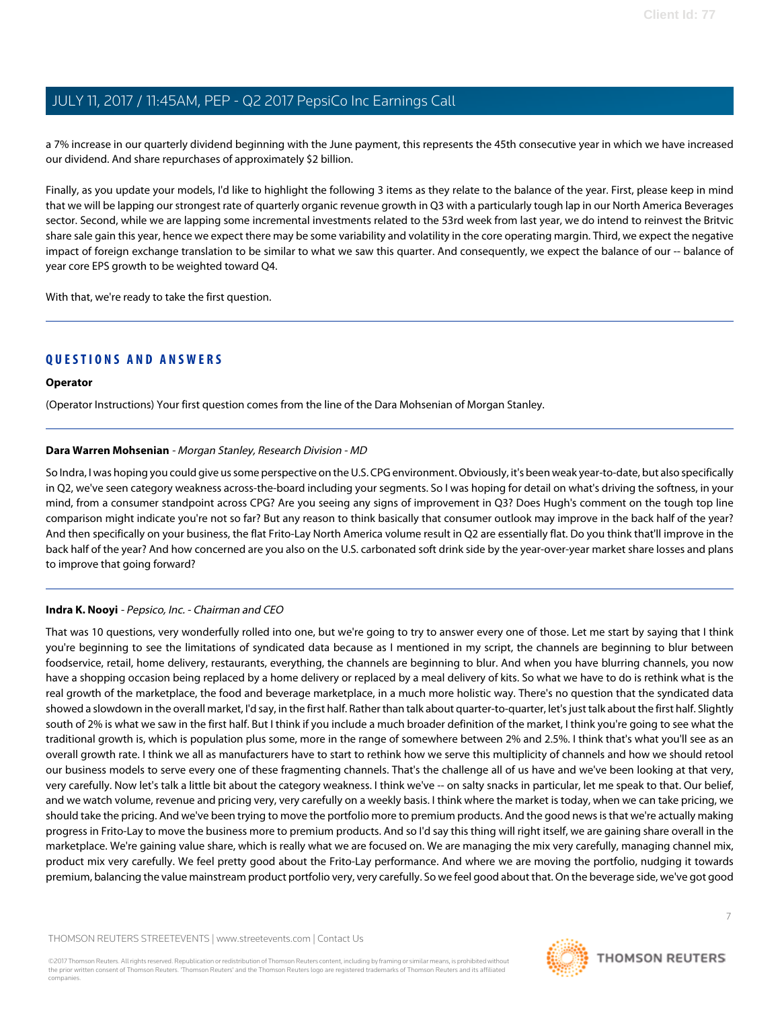a 7% increase in our quarterly dividend beginning with the June payment, this represents the 45th consecutive year in which we have increased our dividend. And share repurchases of approximately \$2 billion.

Finally, as you update your models, I'd like to highlight the following 3 items as they relate to the balance of the year. First, please keep in mind that we will be lapping our strongest rate of quarterly organic revenue growth in Q3 with a particularly tough lap in our North America Beverages sector. Second, while we are lapping some incremental investments related to the 53rd week from last year, we do intend to reinvest the Britvic share sale gain this year, hence we expect there may be some variability and volatility in the core operating margin. Third, we expect the negative impact of foreign exchange translation to be similar to what we saw this quarter. And consequently, we expect the balance of our -- balance of year core EPS growth to be weighted toward Q4.

With that, we're ready to take the first question.

### **QUESTIONS AND ANSWERS**

### **Operator**

<span id="page-6-0"></span>(Operator Instructions) Your first question comes from the line of the Dara Mohsenian of Morgan Stanley.

### **Dara Warren Mohsenian** - Morgan Stanley, Research Division - MD

So Indra, I was hoping you could give us some perspective on the U.S. CPG environment. Obviously, it's been weak year-to-date, but also specifically in Q2, we've seen category weakness across-the-board including your segments. So I was hoping for detail on what's driving the softness, in your mind, from a consumer standpoint across CPG? Are you seeing any signs of improvement in Q3? Does Hugh's comment on the tough top line comparison might indicate you're not so far? But any reason to think basically that consumer outlook may improve in the back half of the year? And then specifically on your business, the flat Frito-Lay North America volume result in Q2 are essentially flat. Do you think that'll improve in the back half of the year? And how concerned are you also on the U.S. carbonated soft drink side by the year-over-year market share losses and plans to improve that going forward?

### **Indra K. Nooyi** - Pepsico, Inc. - Chairman and CEO

That was 10 questions, very wonderfully rolled into one, but we're going to try to answer every one of those. Let me start by saying that I think you're beginning to see the limitations of syndicated data because as I mentioned in my script, the channels are beginning to blur between foodservice, retail, home delivery, restaurants, everything, the channels are beginning to blur. And when you have blurring channels, you now have a shopping occasion being replaced by a home delivery or replaced by a meal delivery of kits. So what we have to do is rethink what is the real growth of the marketplace, the food and beverage marketplace, in a much more holistic way. There's no question that the syndicated data showed a slowdown in the overall market, I'd say, in the first half. Rather than talk about quarter-to-quarter, let's just talk about the first half. Slightly south of 2% is what we saw in the first half. But I think if you include a much broader definition of the market, I think you're going to see what the traditional growth is, which is population plus some, more in the range of somewhere between 2% and 2.5%. I think that's what you'll see as an overall growth rate. I think we all as manufacturers have to start to rethink how we serve this multiplicity of channels and how we should retool our business models to serve every one of these fragmenting channels. That's the challenge all of us have and we've been looking at that very, very carefully. Now let's talk a little bit about the category weakness. I think we've -- on salty snacks in particular, let me speak to that. Our belief, and we watch volume, revenue and pricing very, very carefully on a weekly basis. I think where the market is today, when we can take pricing, we should take the pricing. And we've been trying to move the portfolio more to premium products. And the good news is that we're actually making progress in Frito-Lay to move the business more to premium products. And so I'd say this thing will right itself, we are gaining share overall in the marketplace. We're gaining value share, which is really what we are focused on. We are managing the mix very carefully, managing channel mix, product mix very carefully. We feel pretty good about the Frito-Lay performance. And where we are moving the portfolio, nudging it towards premium, balancing the value mainstream product portfolio very, very carefully. So we feel good about that. On the beverage side, we've got good

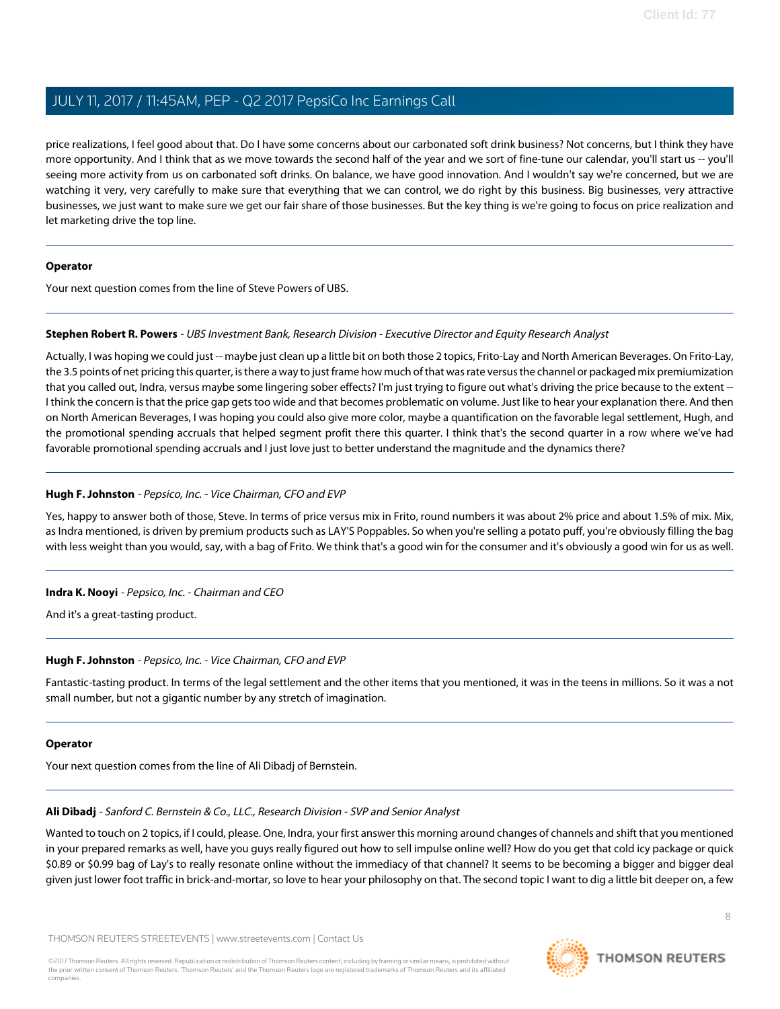price realizations, I feel good about that. Do I have some concerns about our carbonated soft drink business? Not concerns, but I think they have more opportunity. And I think that as we move towards the second half of the year and we sort of fine-tune our calendar, you'll start us -- you'll seeing more activity from us on carbonated soft drinks. On balance, we have good innovation. And I wouldn't say we're concerned, but we are watching it very, very carefully to make sure that everything that we can control, we do right by this business. Big businesses, very attractive businesses, we just want to make sure we get our fair share of those businesses. But the key thing is we're going to focus on price realization and let marketing drive the top line.

### **Operator**

<span id="page-7-1"></span>Your next question comes from the line of Steve Powers of UBS.

### **Stephen Robert R. Powers** - UBS Investment Bank, Research Division - Executive Director and Equity Research Analyst

Actually, I was hoping we could just -- maybe just clean up a little bit on both those 2 topics, Frito-Lay and North American Beverages. On Frito-Lay, the 3.5 points of net pricing this quarter, is there a way to just frame how much of that was rate versus the channel or packaged mix premiumization that you called out, Indra, versus maybe some lingering sober effects? I'm just trying to figure out what's driving the price because to the extent -- I think the concern is that the price gap gets too wide and that becomes problematic on volume. Just like to hear your explanation there. And then on North American Beverages, I was hoping you could also give more color, maybe a quantification on the favorable legal settlement, Hugh, and the promotional spending accruals that helped segment profit there this quarter. I think that's the second quarter in a row where we've had favorable promotional spending accruals and I just love just to better understand the magnitude and the dynamics there?

### **Hugh F. Johnston** - Pepsico, Inc. - Vice Chairman, CFO and EVP

Yes, happy to answer both of those, Steve. In terms of price versus mix in Frito, round numbers it was about 2% price and about 1.5% of mix. Mix, as Indra mentioned, is driven by premium products such as LAY'S Poppables. So when you're selling a potato puff, you're obviously filling the bag with less weight than you would, say, with a bag of Frito. We think that's a good win for the consumer and it's obviously a good win for us as well.

### **Indra K. Nooyi** - Pepsico, Inc. - Chairman and CEO

And it's a great-tasting product.

### **Hugh F. Johnston** - Pepsico, Inc. - Vice Chairman, CFO and EVP

Fantastic-tasting product. In terms of the legal settlement and the other items that you mentioned, it was in the teens in millions. So it was a not small number, but not a gigantic number by any stretch of imagination.

### <span id="page-7-0"></span>**Operator**

Your next question comes from the line of Ali Dibadj of Bernstein.

### **Ali Dibadj** - Sanford C. Bernstein & Co., LLC., Research Division - SVP and Senior Analyst

Wanted to touch on 2 topics, if I could, please. One, Indra, your first answer this morning around changes of channels and shift that you mentioned in your prepared remarks as well, have you guys really figured out how to sell impulse online well? How do you get that cold icy package or quick \$0.89 or \$0.99 bag of Lay's to really resonate online without the immediacy of that channel? It seems to be becoming a bigger and bigger deal given just lower foot traffic in brick-and-mortar, so love to hear your philosophy on that. The second topic I want to dig a little bit deeper on, a few

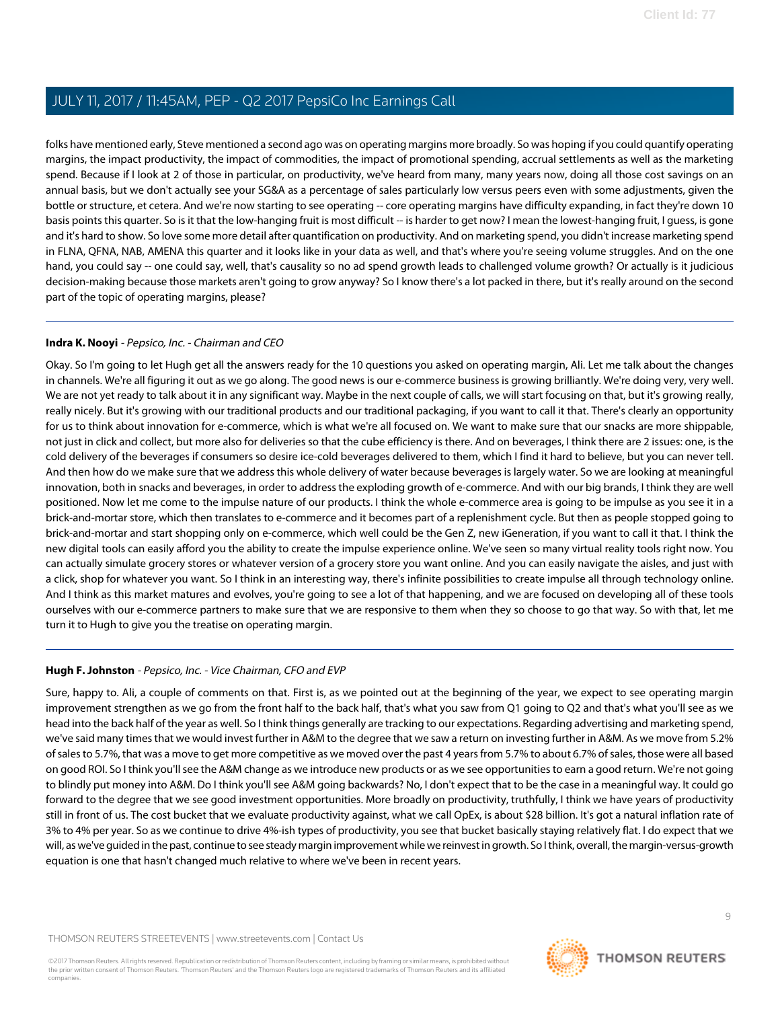folks have mentioned early, Steve mentioned a second ago was on operating margins more broadly. So was hoping if you could quantify operating margins, the impact productivity, the impact of commodities, the impact of promotional spending, accrual settlements as well as the marketing spend. Because if I look at 2 of those in particular, on productivity, we've heard from many, many years now, doing all those cost savings on an annual basis, but we don't actually see your SG&A as a percentage of sales particularly low versus peers even with some adjustments, given the bottle or structure, et cetera. And we're now starting to see operating -- core operating margins have difficulty expanding, in fact they're down 10 basis points this quarter. So is it that the low-hanging fruit is most difficult -- is harder to get now? I mean the lowest-hanging fruit, I guess, is gone and it's hard to show. So love some more detail after quantification on productivity. And on marketing spend, you didn't increase marketing spend in FLNA, QFNA, NAB, AMENA this quarter and it looks like in your data as well, and that's where you're seeing volume struggles. And on the one hand, you could say -- one could say, well, that's causality so no ad spend growth leads to challenged volume growth? Or actually is it judicious decision-making because those markets aren't going to grow anyway? So I know there's a lot packed in there, but it's really around on the second part of the topic of operating margins, please?

### **Indra K. Nooyi** - Pepsico, Inc. - Chairman and CEO

Okay. So I'm going to let Hugh get all the answers ready for the 10 questions you asked on operating margin, Ali. Let me talk about the changes in channels. We're all figuring it out as we go along. The good news is our e-commerce business is growing brilliantly. We're doing very, very well. We are not yet ready to talk about it in any significant way. Maybe in the next couple of calls, we will start focusing on that, but it's growing really, really nicely. But it's growing with our traditional products and our traditional packaging, if you want to call it that. There's clearly an opportunity for us to think about innovation for e-commerce, which is what we're all focused on. We want to make sure that our snacks are more shippable, not just in click and collect, but more also for deliveries so that the cube efficiency is there. And on beverages, I think there are 2 issues: one, is the cold delivery of the beverages if consumers so desire ice-cold beverages delivered to them, which I find it hard to believe, but you can never tell. And then how do we make sure that we address this whole delivery of water because beverages is largely water. So we are looking at meaningful innovation, both in snacks and beverages, in order to address the exploding growth of e-commerce. And with our big brands, I think they are well positioned. Now let me come to the impulse nature of our products. I think the whole e-commerce area is going to be impulse as you see it in a brick-and-mortar store, which then translates to e-commerce and it becomes part of a replenishment cycle. But then as people stopped going to brick-and-mortar and start shopping only on e-commerce, which well could be the Gen Z, new iGeneration, if you want to call it that. I think the new digital tools can easily afford you the ability to create the impulse experience online. We've seen so many virtual reality tools right now. You can actually simulate grocery stores or whatever version of a grocery store you want online. And you can easily navigate the aisles, and just with a click, shop for whatever you want. So I think in an interesting way, there's infinite possibilities to create impulse all through technology online. And I think as this market matures and evolves, you're going to see a lot of that happening, and we are focused on developing all of these tools ourselves with our e-commerce partners to make sure that we are responsive to them when they so choose to go that way. So with that, let me turn it to Hugh to give you the treatise on operating margin.

### **Hugh F. Johnston** - Pepsico, Inc. - Vice Chairman, CFO and EVP

Sure, happy to. Ali, a couple of comments on that. First is, as we pointed out at the beginning of the year, we expect to see operating margin improvement strengthen as we go from the front half to the back half, that's what you saw from Q1 going to Q2 and that's what you'll see as we head into the back half of the year as well. So I think things generally are tracking to our expectations. Regarding advertising and marketing spend, we've said many times that we would invest further in A&M to the degree that we saw a return on investing further in A&M. As we move from 5.2% of sales to 5.7%, that was a move to get more competitive as we moved over the past 4 years from 5.7% to about 6.7% of sales, those were all based on good ROI. So I think you'll see the A&M change as we introduce new products or as we see opportunities to earn a good return. We're not going to blindly put money into A&M. Do I think you'll see A&M going backwards? No, I don't expect that to be the case in a meaningful way. It could go forward to the degree that we see good investment opportunities. More broadly on productivity, truthfully, I think we have years of productivity still in front of us. The cost bucket that we evaluate productivity against, what we call OpEx, is about \$28 billion. It's got a natural inflation rate of 3% to 4% per year. So as we continue to drive 4%-ish types of productivity, you see that bucket basically staying relatively flat. I do expect that we will, as we've guided in the past, continue to see steady margin improvement while we reinvest in growth. So I think, overall, the margin-versus-growth equation is one that hasn't changed much relative to where we've been in recent years.

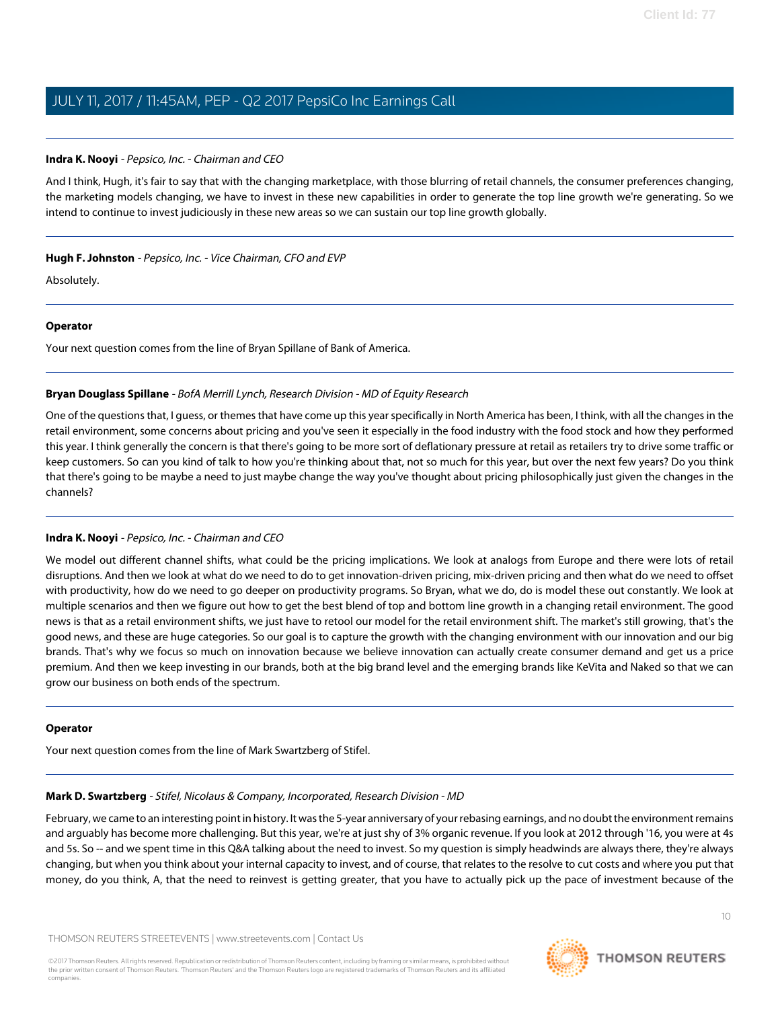### **Indra K. Nooyi** - Pepsico, Inc. - Chairman and CEO

And I think, Hugh, it's fair to say that with the changing marketplace, with those blurring of retail channels, the consumer preferences changing, the marketing models changing, we have to invest in these new capabilities in order to generate the top line growth we're generating. So we intend to continue to invest judiciously in these new areas so we can sustain our top line growth globally.

**Hugh F. Johnston** - Pepsico, Inc. - Vice Chairman, CFO and EVP

Absolutely.

### **Operator**

<span id="page-9-0"></span>Your next question comes from the line of Bryan Spillane of Bank of America.

### **Bryan Douglass Spillane** - BofA Merrill Lynch, Research Division - MD of Equity Research

One of the questions that, I guess, or themes that have come up this year specifically in North America has been, I think, with all the changes in the retail environment, some concerns about pricing and you've seen it especially in the food industry with the food stock and how they performed this year. I think generally the concern is that there's going to be more sort of deflationary pressure at retail as retailers try to drive some traffic or keep customers. So can you kind of talk to how you're thinking about that, not so much for this year, but over the next few years? Do you think that there's going to be maybe a need to just maybe change the way you've thought about pricing philosophically just given the changes in the channels?

### **Indra K. Nooyi** - Pepsico, Inc. - Chairman and CEO

We model out different channel shifts, what could be the pricing implications. We look at analogs from Europe and there were lots of retail disruptions. And then we look at what do we need to do to get innovation-driven pricing, mix-driven pricing and then what do we need to offset with productivity, how do we need to go deeper on productivity programs. So Bryan, what we do, do is model these out constantly. We look at multiple scenarios and then we figure out how to get the best blend of top and bottom line growth in a changing retail environment. The good news is that as a retail environment shifts, we just have to retool our model for the retail environment shift. The market's still growing, that's the good news, and these are huge categories. So our goal is to capture the growth with the changing environment with our innovation and our big brands. That's why we focus so much on innovation because we believe innovation can actually create consumer demand and get us a price premium. And then we keep investing in our brands, both at the big brand level and the emerging brands like KeVita and Naked so that we can grow our business on both ends of the spectrum.

### <span id="page-9-1"></span>**Operator**

Your next question comes from the line of Mark Swartzberg of Stifel.

### **Mark D. Swartzberg** - Stifel, Nicolaus & Company, Incorporated, Research Division - MD

February, we came to an interesting point in history. It was the 5-year anniversary of your rebasing earnings, and no doubt the environment remains and arguably has become more challenging. But this year, we're at just shy of 3% organic revenue. If you look at 2012 through '16, you were at 4s and 5s. So -- and we spent time in this Q&A talking about the need to invest. So my question is simply headwinds are always there, they're always changing, but when you think about your internal capacity to invest, and of course, that relates to the resolve to cut costs and where you put that money, do you think, A, that the need to reinvest is getting greater, that you have to actually pick up the pace of investment because of the

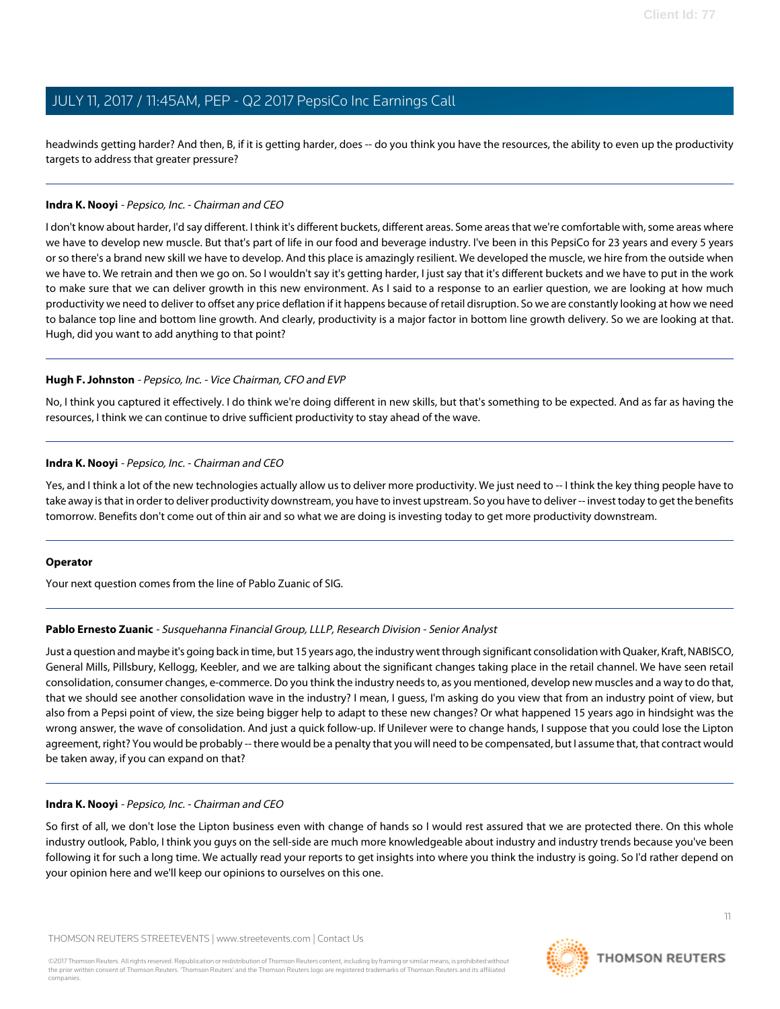headwinds getting harder? And then, B, if it is getting harder, does -- do you think you have the resources, the ability to even up the productivity targets to address that greater pressure?

### **Indra K. Nooyi** - Pepsico, Inc. - Chairman and CEO

I don't know about harder, I'd say different. I think it's different buckets, different areas. Some areas that we're comfortable with, some areas where we have to develop new muscle. But that's part of life in our food and beverage industry. I've been in this PepsiCo for 23 years and every 5 years or so there's a brand new skill we have to develop. And this place is amazingly resilient. We developed the muscle, we hire from the outside when we have to. We retrain and then we go on. So I wouldn't say it's getting harder, I just say that it's different buckets and we have to put in the work to make sure that we can deliver growth in this new environment. As I said to a response to an earlier question, we are looking at how much productivity we need to deliver to offset any price deflation if it happens because of retail disruption. So we are constantly looking at how we need to balance top line and bottom line growth. And clearly, productivity is a major factor in bottom line growth delivery. So we are looking at that. Hugh, did you want to add anything to that point?

### **Hugh F. Johnston** - Pepsico, Inc. - Vice Chairman, CFO and EVP

No, I think you captured it effectively. I do think we're doing different in new skills, but that's something to be expected. And as far as having the resources, I think we can continue to drive sufficient productivity to stay ahead of the wave.

### **Indra K. Nooyi** - Pepsico, Inc. - Chairman and CEO

Yes, and I think a lot of the new technologies actually allow us to deliver more productivity. We just need to -- I think the key thing people have to take away is that in order to deliver productivity downstream, you have to invest upstream. So you have to deliver -- invest today to get the benefits tomorrow. Benefits don't come out of thin air and so what we are doing is investing today to get more productivity downstream.

### <span id="page-10-0"></span>**Operator**

Your next question comes from the line of Pablo Zuanic of SIG.

### **Pablo Ernesto Zuanic** - Susquehanna Financial Group, LLLP, Research Division - Senior Analyst

Just a question and maybe it's going back in time, but 15 years ago, the industry went through significant consolidation with Quaker, Kraft, NABISCO, General Mills, Pillsbury, Kellogg, Keebler, and we are talking about the significant changes taking place in the retail channel. We have seen retail consolidation, consumer changes, e-commerce. Do you think the industry needs to, as you mentioned, develop new muscles and a way to do that, that we should see another consolidation wave in the industry? I mean, I guess, I'm asking do you view that from an industry point of view, but also from a Pepsi point of view, the size being bigger help to adapt to these new changes? Or what happened 15 years ago in hindsight was the wrong answer, the wave of consolidation. And just a quick follow-up. If Unilever were to change hands, I suppose that you could lose the Lipton agreement, right? You would be probably -- there would be a penalty that you will need to be compensated, but I assume that, that contract would be taken away, if you can expand on that?

### **Indra K. Nooyi** - Pepsico, Inc. - Chairman and CEO

So first of all, we don't lose the Lipton business even with change of hands so I would rest assured that we are protected there. On this whole industry outlook, Pablo, I think you guys on the sell-side are much more knowledgeable about industry and industry trends because you've been following it for such a long time. We actually read your reports to get insights into where you think the industry is going. So I'd rather depend on your opinion here and we'll keep our opinions to ourselves on this one.